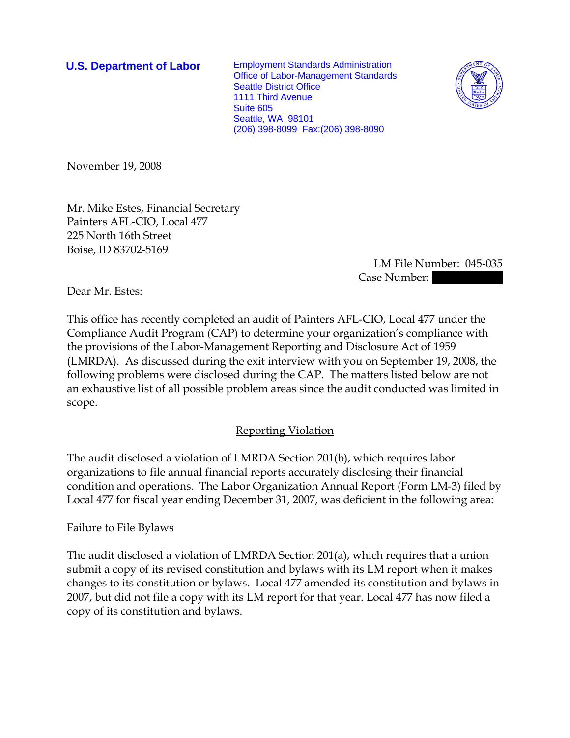**U.S. Department of Labor** Employment Standards Administration Office of Labor-Management Standards Seattle District Office 1111 Third Avenue Suite 605 Seattle, WA 98101 (206) 398-8099 Fax:(206) 398-8090



November 19, 2008

Mr. Mike Estes, Financial Secretary Painters AFL-CIO, Local 477 225 North 16th Street Boise, ID 83702-5169

> LM File Number: 045-035 Case Number:

Dear Mr. Estes:

This office has recently completed an audit of Painters AFL-CIO, Local 477 under the Compliance Audit Program (CAP) to determine your organization's compliance with the provisions of the Labor-Management Reporting and Disclosure Act of 1959 (LMRDA). As discussed during the exit interview with you on September 19, 2008, the following problems were disclosed during the CAP. The matters listed below are not an exhaustive list of all possible problem areas since the audit conducted was limited in scope.

## Reporting Violation

The audit disclosed a violation of LMRDA Section 201(b), which requires labor organizations to file annual financial reports accurately disclosing their financial condition and operations. The Labor Organization Annual Report (Form LM-3) filed by Local 477 for fiscal year ending December 31, 2007, was deficient in the following area:

Failure to File Bylaws

The audit disclosed a violation of LMRDA Section 201(a), which requires that a union submit a copy of its revised constitution and bylaws with its LM report when it makes changes to its constitution or bylaws. Local 477 amended its constitution and bylaws in 2007, but did not file a copy with its LM report for that year. Local 477 has now filed a copy of its constitution and bylaws.